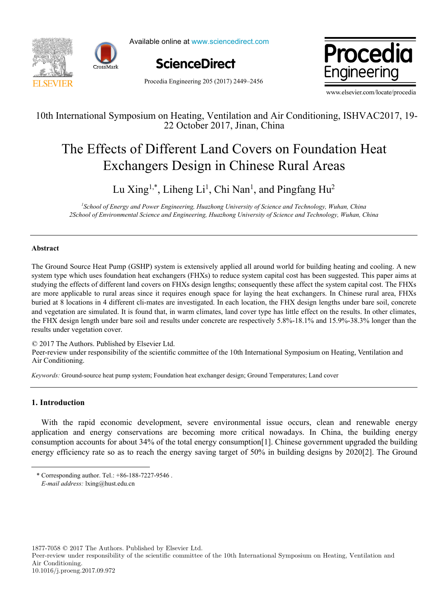

Available online at www.sciencedirect.com





Procedia Engineering 205 (2017) 2449–2456

www.elsevier.com/locate/procedia

### 10th International Symposium on Heating, Ventilation and Air Conditioning, ISHVAC2017, 19- 10th International Symposium on Heating, Ventilation and Air Conditioning, ISHVAC2017, 19- 22 October 2017, Jinan, China 22 October 2017, Jinan, China

# The Effects of Different Land Covers on Foundation Heat The Effects of Different Land Covers on Foundation Heat Exchangers Design in Chinese Rural Areas Exchangers Design in Chinese Rural Areas

## Lu  $\mathrm{Xing}^{1,*}$ , Liheng Li<sup>1</sup>, Chi Nan<sup>1</sup>, and Pingfang Hu<sup>2</sup>

<sup>1</sup>School of Energy and Power Engineering, Huazhong University of Science and Technology, Wuhan, China 2School of Environmental Science and Engineering, Huazhong University of Science and Technology, Wuhan, China

#### **Abstract Abstract**

The Ground Source Heat Pump (GSHP) system is extensively applied all around world for building heating and cooling. A new system type which uses foundation heat exchangers (FHXs) to reduce system capital cost has been suggested. This paper aims at studying the effects of different land covers on FHXs design lengths; consequently these affect the system capital cost. The FHXs are more applicable to rural areas since it requires enough space for laying the heat exchangers. In Chinese rural area, FHXs buried at 8 locations in 4 different cli-mates are investigated. In each location, the FHX design lengths under bare soil, concrete and vegetation are simulated. It is found that, in warm climates, land cover type has little effect on the results. In other climates, the FHX design length under bare soil and results under concrete are respectively 5.8%-18.1% and 15.9%-38.3% longer than the results under vegetation cover. results under vegetation cover.

© 2017 The Authors. Published by Elsevier Ltd. © 2017 The Authors. Published by Elsevier Ltd. © 2017 The Authors. Published by Elsevier Ltd.

e 2017 The Additions. I donished by Eisevier Edd.<br>Peer-review under responsibility of the scientific committee of the 10th International Symposium on Heating, Ventilation and Air Conditioning. Conditioning. Conditioning.

Keywords: Ground-source heat pump system; Foundation heat exchanger design; Ground Temperatures; Land cover

#### **1. Introduction 1. Introduction**

 $\overline{a}$ 

l

With the rapid economic development, severe environmental issue occurs, clean and renewable energy With the rapid economic development, severe environmental issue occurs, clean and renewable energy application and energy conservations are becoming more critical nowadays. In China, the building energy application and energy conservations are becoming more critical nowadays. In China, the building energy consumption accounts for about 34% of the total energy consumption[1]. Chinese government upgraded the building consumption accounts for about 34% of the total energy consumption[1]. Chinese government upgraded the building energy efficiency rate so as to reach the energy saving target of 50% in building designs by 2020[2]. The Ground

1877-7058 © 2017 The Authors. Published by Elsevier Ltd.

Peer-review under responsibility of the scientific committee of the 10th International Symposium on Heating, Ventilation and Air Conditioning.

<sup>\*</sup> Corresponding author. Tel.: +86-188-7227-9546 . \* Corresponding author. Tel.: +86-188-7227-9546 . *E-mail address:* lxing@hust.edu.cn *E-mail address:* lxing@hust.edu.cn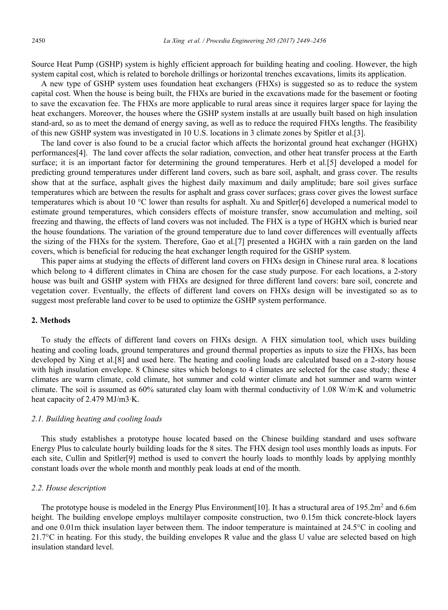Source Heat Pump (GSHP) system is highly efficient approach for building heating and cooling. However, the high system capital cost, which is related to borehole drillings or horizontal trenches excavations, limits its application.

A new type of GSHP system uses foundation heat exchangers (FHXs) is suggested so as to reduce the system capital cost. When the house is being built, the FHXs are buried in the excavations made for the basement or footing to save the excavation fee. The FHXs are more applicable to rural areas since it requires larger space for laying the heat exchangers. Moreover, the houses where the GSHP system installs at are usually built based on high insulation stand-ard, so as to meet the demand of energy saving, as well as to reduce the required FHXs lengths. The feasibility of this new GSHP system was investigated in 10 U.S. locations in 3 climate zones by Spitler et al.[3].

The land cover is also found to be a crucial factor which affects the horizontal ground heat exchanger (HGHX) performances[4]. The land cover affects the solar radiation, convection, and other heat transfer process at the Earth surface; it is an important factor for determining the ground temperatures. Herb et al.[5] developed a model for predicting ground temperatures under different land covers, such as bare soil, asphalt, and grass cover. The results show that at the surface, asphalt gives the highest daily maximum and daily amplitude; bare soil gives surface temperatures which are between the results for asphalt and grass cover surfaces; grass cover gives the lowest surface temperatures which is about 10 °C lower than results for asphalt. Xu and Spitler[6] developed a numerical model to estimate ground temperatures, which considers effects of moisture transfer, snow accumulation and melting, soil freezing and thawing, the effects of land covers was not included. The FHX is a type of HGHX which is buried near the house foundations. The variation of the ground temperature due to land cover differences will eventually affects the sizing of the FHXs for the system. Therefore, Gao et al.[7] presented a HGHX with a rain garden on the land covers, which is beneficial for reducing the heat exchanger length required for the GSHP system.

This paper aims at studying the effects of different land covers on FHXs design in Chinese rural area. 8 locations which belong to 4 different climates in China are chosen for the case study purpose. For each locations, a 2-story house was built and GSHP system with FHXs are designed for three different land covers: bare soil, concrete and vegetation cover. Eventually, the effects of different land covers on FHXs design will be investigated so as to suggest most preferable land cover to be used to optimize the GSHP system performance.

#### **2. Methods**

To study the effects of different land covers on FHXs design. A FHX simulation tool, which uses building heating and cooling loads, ground temperatures and ground thermal properties as inputs to size the FHXs, has been developed by Xing et al.[8] and used here. The heating and cooling loads are calculated based on a 2-story house with high insulation envelope. 8 Chinese sites which belongs to 4 climates are selected for the case study; these 4 climates are warm climate, cold climate, hot summer and cold winter climate and hot summer and warm winter climate. The soil is assumed as 60% saturated clay loam with thermal conductivity of 1.08 W/m·K and volumetric heat capacity of 2.479 MJ/m3·K.

#### *2.1. Building heating and cooling loads*

This study establishes a prototype house located based on the Chinese building standard and uses software Energy Plus to calculate hourly building loads for the 8 sites. The FHX design tool uses monthly loads as inputs. For each site, Cullin and Spitler[9] method is used to convert the hourly loads to monthly loads by applying monthly constant loads over the whole month and monthly peak loads at end of the month.

#### *2.2. House description*

The prototype house is modeled in the Energy Plus Environment[10]. It has a structural area of  $195.2m^2$  and 6.6m height. The building envelope employs multilayer composite construction, two 0.15m thick concrete-block layers and one 0.01m thick insulation layer between them. The indoor temperature is maintained at 24.5°C in cooling and 21.7°C in heating. For this study, the building envelopes R value and the glass U value are selected based on high insulation standard level.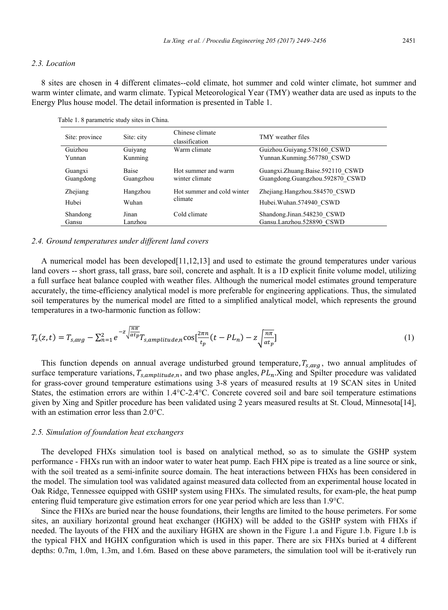#### *2.3. Location*

8 sites are chosen in 4 different climates--cold climate, hot summer and cold winter climate, hot summer and warm winter climate, and warm climate. Typical Meteorological Year (TMY) weather data are used as inputs to the Energy Plus house model. The detail information is presented in Table 1.

Table 1. 8 parametric study sites in China.

| Site: province | Site: city   | Chinese climate<br>classification | TMY weather files                |  |  |
|----------------|--------------|-----------------------------------|----------------------------------|--|--|
| Guizhou        | Guiyang      | Warm climate                      | Guizhou.Guiyang.578160 CSWD      |  |  |
| Yunnan         | Kunming      |                                   | Yunnan.Kunming.567780 CSWD       |  |  |
| Guangxi        | <b>Baise</b> | Hot summer and warm               | Guangxi.Zhuang.Baise.592110 CSWD |  |  |
| Guangdong      | Guangzhou    | winter climate                    | Guangdong.Guangzhou.592870 CSWD  |  |  |
| Zhejiang       | Hangzhou     | Hot summer and cold winter        | Zhejiang.Hangzhou.584570 CSWD    |  |  |
| Hubei          | Wuhan        | climate                           | Hubei. Wuhan. 574940 CSWD        |  |  |
| Shandong       | Jinan        | Cold climate                      | Shandong.Jinan.548230 CSWD       |  |  |
| Gansu          | Lanzhou      |                                   | Gansu.Lanzhou.528890 CSWD        |  |  |

#### *2.4. Ground temperatures under different land covers*

A numerical model has been developed[11,12,13] and used to estimate the ground temperatures under various land covers -- short grass, tall grass, bare soil, concrete and asphalt. It is a 1D explicit finite volume model, utilizing a full surface heat balance coupled with weather files. Although the numerical model estimates ground temperature accurately, the time-efficiency analytical model is more preferable for engineering applications. Thus, the simulated soil temperatures by the numerical model are fitted to a simplified analytical model, which represents the ground temperatures in a two-harmonic function as follow:

$$
T_s(z,t) = T_{s,avg} - \sum_{n=1}^2 e^{-z \sqrt{\frac{n\pi}{\alpha t_p}}} T_{s,amplitude,n} \cos[\frac{2\pi n}{t_p}(t - PL_n) - z \sqrt{\frac{n\pi}{\alpha t_p}}]
$$
\n<sup>(1)</sup>

This function depends on annual average undisturbed ground temperature,  $T_{s,avg}$ , two annual amplitudes of surface temperature variations,  $T_{s,amplitude,n}$ , and two phase angles,  $PL_n$ .Xing and Spilter procedure was validated for grass-cover ground temperature estimations using 3-8 years of measured results at 19 SCAN sites in United States, the estimation errors are within 1.4°C-2.4°C. Concrete covered soil and bare soil temperature estimations given by Xing and Spitler procedure has been validated using 2 years measured results at St. Cloud, Minnesota[14], with an estimation error less than 2.0°C.

#### *2.5. Simulation of foundation heat exchangers*

The developed FHXs simulation tool is based on analytical method, so as to simulate the GSHP system performance - FHXs run with an indoor water to water heat pump. Each FHX pipe is treated as a line source or sink, with the soil treated as a semi-infinite source domain. The heat interactions between FHXs has been considered in the model. The simulation tool was validated against measured data collected from an experimental house located in Oak Ridge, Tennessee equipped with GSHP system using FHXs. The simulated results, for exam-ple, the heat pump entering fluid temperature give estimation errors for one year period which are less than 1.9°C.

Since the FHXs are buried near the house foundations, their lengths are limited to the house perimeters. For some sites, an auxiliary horizontal ground heat exchanger (HGHX) will be added to the GSHP system with FHXs if needed. The layouts of the FHX and the auxiliary HGHX are shown in the Figure 1.a and Figure 1.b. Figure 1.b is the typical FHX and HGHX configuration which is used in this paper. There are six FHXs buried at 4 different depths: 0.7m, 1.0m, 1.3m, and 1.6m. Based on these above parameters, the simulation tool will be it-eratively run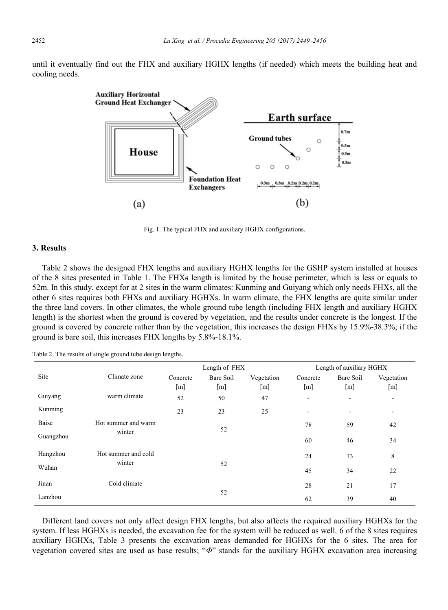until it eventually find out the FHX and auxiliary HGHX lengths (if needed) which meets the building heat and cooling needs.



Fig. 1. The typical FHX and auxiliary HGHX configurations.

#### **3. Results**

Table 2 shows the designed FHX lengths and auxiliary HGHX lengths for the GSHP system installed at houses of the 8 sites presented in Table 1. The FHXs length is limited by the house perimeter, which is less or equals to 52m. In this study, except for at 2 sites in the warm climates: Kunming and Guiyang which only needs FHXs, all the other 6 sites requires both FHXs and auxiliary HGHXs. In warm climate, the FHX lengths are quite similar under the three land covers. In other climates, the whole ground tube length (including FHX length and auxiliary HGHX length) is the shortest when the ground is covered by vegetation, and the results under concrete is the longest. If the ground is covered by concrete rather than by the vegetation, this increases the design FHXs by 15.9%-38.3%; if the ground is bare soil, this increases FHX lengths by 5.8%-18.1%.

|           |                     | Length of FHX     |                   |                   | Length of auxiliary HGHX |           |                              |
|-----------|---------------------|-------------------|-------------------|-------------------|--------------------------|-----------|------------------------------|
| Site      | Climate zone        | Concrete          | Bare Soil         | Vegetation        | Concrete                 | Bare Soil | Vegetation                   |
|           |                     | $\lceil m \rceil$ | $\lceil m \rceil$ | $\lceil m \rceil$ | [m]                      | [m]       | $\lceil m \rceil$            |
| Guiyang   | warm climate        | 52                | 50                | 47                | ۰.                       | -         | $\qquad \qquad \blacksquare$ |
| Kunming   |                     | 23                | 23                | 25                | ۰                        | ۰         | $\qquad \qquad \blacksquare$ |
| Baise     | Hot summer and warm |                   | 52                |                   | 78                       | 59        | 42                           |
| Guangzhou | winter              |                   |                   |                   | 60                       | 46        | 34                           |
| Hangzhou  | Hot summer and cold |                   |                   |                   | 24                       | 13        | 8                            |
| Wuhan     | winter              |                   | 52                |                   | 45                       | 34        | 22                           |
| Jinan     | Cold climate        |                   |                   |                   | 28                       | 21        | 17                           |
| Lanzhou   |                     |                   | 52                |                   |                          | 39        | 40                           |

Table 2. The results of single ground tube design lengths.

Different land covers not only affect design FHX lengths, but also affects the required auxiliary HGHXs for the system. If less HGHXs is needed, the excavation fee for the system will be reduced as well. 6 of the 8 sites requires auxiliary HGHXs, Table 3 presents the excavation areas demanded for HGHXs for the 6 sites. The area for vegetation covered sites are used as base results; "*Φ*" stands for the auxiliary HGHX excavation area increasing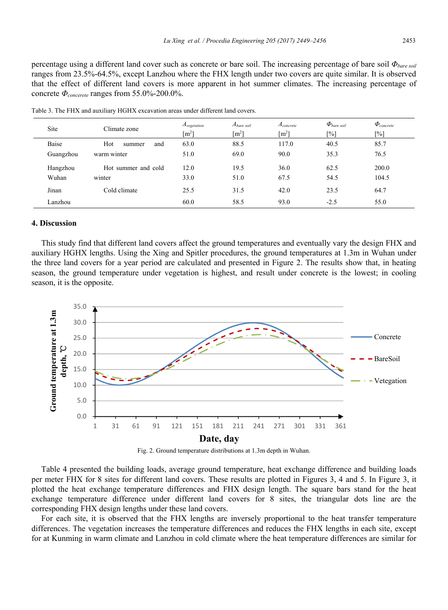percentage using a different land cover such as concrete or bare soil. The increasing percentage of bare soil *Φbare soil* ranges from 23.5%-64.5%, except Lanzhou where the FHX length under two covers are quite similar. It is observed that the effect of different land covers is more apparent in hot summer climates. The increasing percentage of concrete *Φconcerete* ranges from 55.0%-200.0%.

| <b>Site</b> | Climate zone         | $A_{vegetation}$<br>$\lceil m^2 \rceil$ | $A_{\text{bare soil}}$<br>$\lceil m^2 \rceil$ | $A_{\text{concrete}}$<br>$\lceil m^2 \rceil$ | $\Phi_{\text{bare soil}}$<br>[%] | $\Phi_{\text{concrete}}$<br>$[\%]$ |
|-------------|----------------------|-----------------------------------------|-----------------------------------------------|----------------------------------------------|----------------------------------|------------------------------------|
| Baise       | Hot<br>and<br>summer | 63.0                                    | 88.5                                          | 117.0                                        | 40.5                             | 85.7                               |
| Guangzhou   | warm winter          | 51.0                                    | 69.0                                          | 90.0                                         | 35.3                             | 76.5                               |
| Hangzhou    | Hot summer and cold  | 12.0                                    | 19.5                                          | 36.0                                         | 62.5                             | 200.0                              |
| Wuhan       | winter               | 33.0                                    | 51.0                                          | 67.5                                         | 54.5                             | 104.5                              |
| Jinan       | Cold climate         | 25.5                                    | 31.5                                          | 42.0                                         | 23.5                             | 64.7                               |
| Lanzhou     |                      | 60.0                                    | 58.5                                          | 93.0                                         | $-2.5$                           | 55.0                               |

Table 3. The FHX and auxiliary HGHX excavation areas under different land covers.

#### **4. Discussion**

This study find that different land covers affect the ground temperatures and eventually vary the design FHX and auxiliary HGHX lengths. Using the Xing and Spitler procedures, the ground temperatures at 1.3m in Wuhan under the three land covers for a year period are calculated and presented in Figure 2. The results show that, in heating season, the ground temperature under vegetation is highest, and result under concrete is the lowest; in cooling season, it is the opposite.





Table 4 presented the building loads, average ground temperature, heat exchange difference and building loads per meter FHX for 8 sites for different land covers. These results are plotted in Figures 3, 4 and 5. In Figure 3, it plotted the heat exchange temperature differences and FHX design length. The square bars stand for the heat exchange temperature difference under different land covers for 8 sites, the triangular dots line are the corresponding FHX design lengths under these land covers.

For each site, it is observed that the FHX lengths are inversely proportional to the heat transfer temperature differences. The vegetation increases the temperature differences and reduces the FHX lengths in each site, except for at Kunming in warm climate and Lanzhou in cold climate where the heat temperature differences are similar for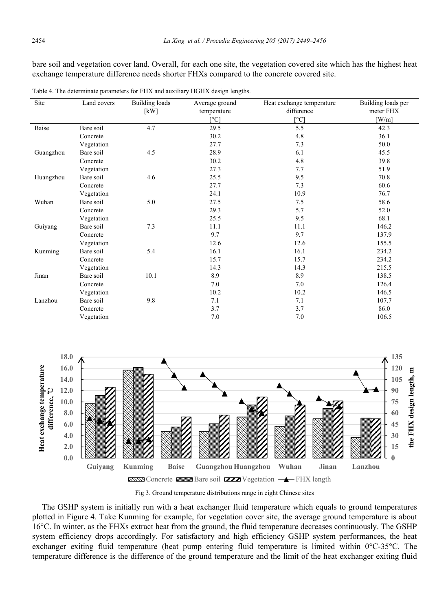bare soil and vegetation cover land. Overall, for each one site, the vegetation covered site which has the highest heat exchange temperature difference needs shorter FHXs compared to the concrete covered site.

| Site      | Land covers | Building loads | Average ground | Heat exchange temperature | Building loads per |
|-----------|-------------|----------------|----------------|---------------------------|--------------------|
|           |             | [kW]           | temperature    | difference                | meter FHX          |
|           |             |                | $\lceil$ °C]   | [°C]                      | $[$ W/m]           |
| Baise     | Bare soil   | 4.7            | 29.5           | 5.5                       | 42.3               |
|           | Concrete    |                | 30.2           | 4.8                       | 36.1               |
|           | Vegetation  |                | 27.7           | 7.3                       | 50.0               |
| Guangzhou | Bare soil   | 4.5            | 28.9           | 6.1                       | 45.5               |
|           | Concrete    |                | 30.2           | 4.8                       | 39.8               |
|           | Vegetation  |                | 27.3           | 7.7                       | 51.9               |
| Huangzhou | Bare soil   | 4.6            | 25.5           | 9.5                       | 70.8               |
|           | Concrete    |                | 27.7           | 7.3                       | 60.6               |
|           | Vegetation  |                | 24.1           | 10.9                      | 76.7               |
| Wuhan     | Bare soil   | 5.0            | 27.5           | 7.5                       | 58.6               |
|           | Concrete    |                | 29.3           | 5.7                       | 52.0               |
|           | Vegetation  |                | 25.5           | 9.5                       | 68.1               |
| Guiyang   | Bare soil   | 7.3            | 11.1           | 11.1                      | 146.2              |
|           | Concrete    |                | 9.7            | 9.7                       | 137.9              |
|           | Vegetation  |                | 12.6           | 12.6                      | 155.5              |
| Kunming   | Bare soil   | 5.4            | 16.1           | 16.1                      | 234.2              |
|           | Concrete    |                | 15.7           | 15.7                      | 234.2              |
|           | Vegetation  |                | 14.3           | 14.3                      | 215.5              |
| Jinan     | Bare soil   | 10.1           | 8.9            | 8.9                       | 138.5              |
|           | Concrete    |                | 7.0            | 7.0                       | 126.4              |
|           | Vegetation  |                | 10.2           | 10.2                      | 146.5              |
| Lanzhou   | Bare soil   | 9.8            | 7.1            | 7.1                       | 107.7              |
|           | Concrete    |                | 3.7            | 3.7                       | 86.0               |
|           | Vegetation  |                | 7.0            | 7.0                       | 106.5              |

Table 4. The determinate parameters for FHX and auxiliary HGHX design lengths.



Fig 3. Ground temperature distributions range in eight Chinese sites

The GSHP system is initially run with a heat exchanger fluid temperature which equals to ground temperatures plotted in Figure 4. Take Kunming for example, for vegetation cover site, the average ground temperature is about 16°C. In winter, as the FHXs extract heat from the ground, the fluid temperature decreases continuously. The GSHP system efficiency drops accordingly. For satisfactory and high efficiency GSHP system performances, the heat exchanger exiting fluid temperature (heat pump entering fluid temperature is limited within 0°C-35°C. The temperature difference is the difference of the ground temperature and the limit of the heat exchanger exiting fluid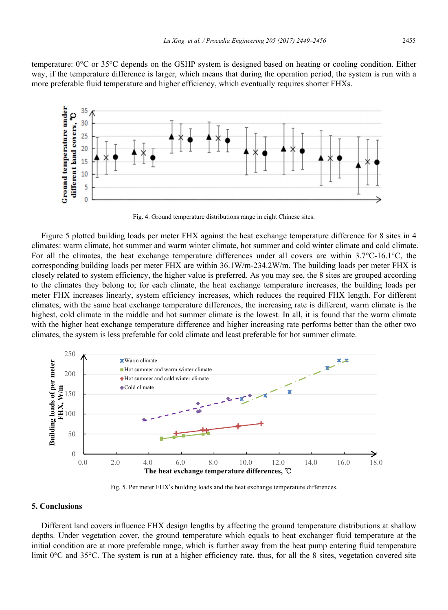temperature: 0°C or 35°C depends on the GSHP system is designed based on heating or cooling condition. Either way, if the temperature difference is larger, which means that during the operation period, the system is run with a more preferable fluid temperature and higher efficiency, which eventually requires shorter FHXs.



Fig. 4. Ground temperature distributions range in eight Chinese sites.

Figure 5 plotted building loads per meter FHX against the heat exchange temperature difference for 8 sites in 4 climates: warm climate, hot summer and warm winter climate, hot summer and cold winter climate and cold climate. For all the climates, the heat exchange temperature differences under all covers are within 3.7°C-16.1°C, the corresponding building loads per meter FHX are within 36.1W/m-234.2W/m. The building loads per meter FHX is closely related to system efficiency, the higher value is preferred. As you may see, the 8 sites are grouped according to the climates they belong to; for each climate, the heat exchange temperature increases, the building loads per meter FHX increases linearly, system efficiency increases, which reduces the required FHX length. For different climates, with the same heat exchange temperature differences, the increasing rate is different, warm climate is the highest, cold climate in the middle and hot summer climate is the lowest. In all, it is found that the warm climate with the higher heat exchange temperature difference and higher increasing rate performs better than the other two climates, the system is less preferable for cold climate and least preferable for hot summer climate.



Fig. 5. Per meter FHX's building loads and the heat exchange temperature differences.

#### **5. Conclusions**

Different land covers influence FHX design lengths by affecting the ground temperature distributions at shallow depths. Under vegetation cover, the ground temperature which equals to heat exchanger fluid temperature at the initial condition are at more preferable range, which is further away from the heat pump entering fluid temperature limit 0°C and 35°C. The system is run at a higher efficiency rate, thus, for all the 8 sites, vegetation covered site